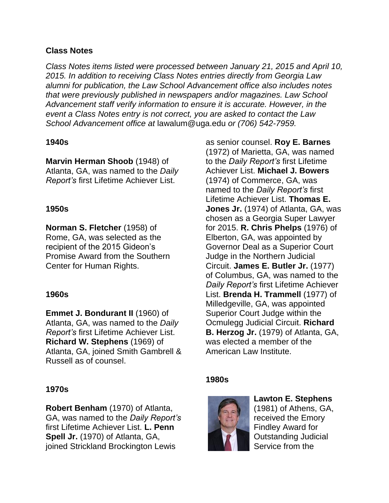#### **Class Notes**

*Class Notes items listed were processed between January 21, 2015 and April 10, 2015. In addition to receiving Class Notes entries directly from Georgia Law alumni for publication, the Law School Advancement office also includes notes that were previously published in newspapers and/or magazines. Law School Advancement staff verify information to ensure it is accurate. However, in the event a Class Notes entry is not correct, you are asked to contact the Law School Advancement office at* lawalum@uga.edu *or (706) 542-7959.*

#### **1940s**

**Marvin Herman Shoob** (1948) of Atlanta, GA, was named to the *Daily Report's* first Lifetime Achiever List.

#### **1950s**

**Norman S. Fletcher** (1958) of Rome, GA, was selected as the recipient of the 2015 Gideon's Promise Award from the Southern Center for Human Rights.

# **1960s**

**Emmet J. Bondurant II** (1960) of Atlanta, GA, was named to the *Daily Report's* first Lifetime Achiever List. **Richard W. Stephens** (1969) of Atlanta, GA, joined Smith Gambrell & Russell as of counsel.

# **1970s**

**Robert Benham** (1970) of Atlanta, GA, was named to the *Daily Report's* first Lifetime Achiever List. **L. Penn Spell Jr.** (1970) of Atlanta, GA, joined Strickland Brockington Lewis

as senior counsel. **Roy E. Barnes**  (1972) of Marietta, GA, was named to the *Daily Report's* first Lifetime Achiever List. **Michael J. Bowers**  (1974) of Commerce, GA, was named to the *Daily Report's* first Lifetime Achiever List. **Thomas E. Jones Jr.** (1974) of Atlanta, GA, was chosen as a Georgia Super Lawyer for 2015. **R. Chris Phelps** (1976) of Elberton, GA, was appointed by Governor Deal as a Superior Court Judge in the Northern Judicial Circuit. **James E. Butler Jr.** (1977) of Columbus, GA, was named to the *Daily Report's* first Lifetime Achiever List. **Brenda H. Trammell** (1977) of Milledgeville, GA, was appointed Superior Court Judge within the Ocmulegg Judicial Circuit. **Richard B. Herzog Jr.** (1979) of Atlanta, GA, was elected a member of the American Law Institute.

# **1980s**



**Lawton E. Stephens**  (1981) of Athens, GA, received the Emory

Findley Award for Outstanding Judicial Service from the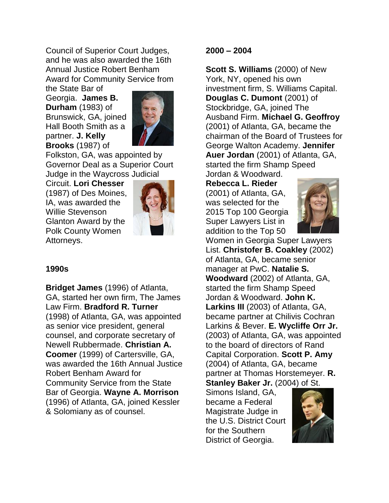Council of Superior Court Judges, and he was also awarded the 16th Annual Justice Robert Benham Award for Community Service from

the State Bar of Georgia. **James B. Durham** (1983) of Brunswick, GA, joined Hall Booth Smith as a partner. **J. Kelly Brooks** (1987) of



Folkston, GA, was appointed by Governor Deal as a Superior Court Judge in the Waycross Judicial

Circuit. **Lori Chesser** (1987) of Des Moines, IA, was awarded the Willie Stevenson Glanton Award by the Polk County Women Attorneys.



# **1990s**

**Bridget James** (1996) of Atlanta, GA, started her own firm, The James Law Firm. **Bradford R. Turner** (1998) of Atlanta, GA, was appointed as senior vice president, general counsel, and corporate secretary of Newell Rubbermade. **Christian A. Coomer** (1999) of Cartersville, GA, was awarded the 16th Annual Justice Robert Benham Award for Community Service from the State Bar of Georgia. **Wayne A. Morrison** (1996) of Atlanta, GA, joined Kessler & Solomiany as of counsel.

#### **2000 – 2004**

**Scott S. Williams** (2000) of New York, NY, opened his own investment firm, S. Williams Capital. **Douglas C. Dumont** (2001) of Stockbridge, GA, joined The Ausband Firm. **Michael G. Geoffroy**  (2001) of Atlanta, GA, became the chairman of the Board of Trustees for George Walton Academy. **Jennifer Auer Jordan** (2001) of Atlanta, GA, started the firm Shamp Speed Jordan & Woodward.

**Rebecca L. Rieder** (2001) of Atlanta, GA, was selected for the 2015 Top 100 Georgia Super Lawyers List in addition to the Top 50



Women in Georgia Super Lawyers List. **Christofer B. Coakley** (2002) of Atlanta, GA, became senior manager at PwC. **Natalie S. Woodward** (2002) of Atlanta, GA, started the firm Shamp Speed Jordan & Woodward. **John K. Larkins III** (2003) of Atlanta, GA, became partner at Chilivis Cochran Larkins & Bever. **E. Wycliffe Orr Jr.** (2003) of Atlanta, GA, was appointed to the board of directors of Rand Capital Corporation. **Scott P. Amy** (2004) of Atlanta, GA, became partner at Thomas Horstemeyer. **R. Stanley Baker Jr.** (2004) of St.

Simons Island, GA, became a Federal Magistrate Judge in the U.S. District Court for the Southern District of Georgia.